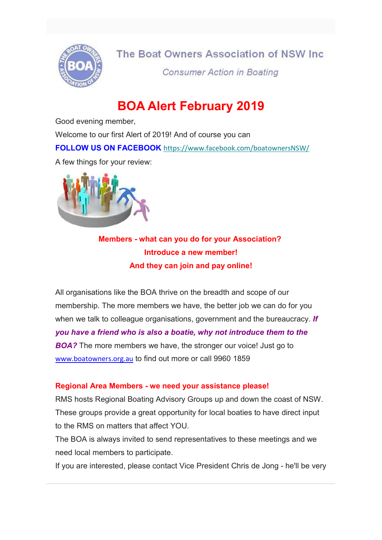

## The Boat Owners Association of NSW Inc.

**Consumer Action in Boating** 

# BOA Alert February 2019

Good evening member,

Welcome to our first Alert of 2019! And of course you can

FOLLOW US ON FACEBOOK https://www.facebook.com/boatownersNSW/

A few things for your review:



Members - what can you do for your Association? Introduce a new member! And they can join and pay online!

All organisations like the BOA thrive on the breadth and scope of our membership. The more members we have, the better job we can do for you when we talk to colleague organisations, government and the bureaucracy. If you have a friend who is also a boatie, why not introduce them to the **BOA?** The more members we have, the stronger our voice! Just go to www.boatowners.org.au to find out more or call 9960 1859

#### Regional Area Members - we need your assistance please!

RMS hosts Regional Boating Advisory Groups up and down the coast of NSW. These groups provide a great opportunity for local boaties to have direct input to the RMS on matters that affect YOU.

The BOA is always invited to send representatives to these meetings and we need local members to participate.

If you are interested, please contact Vice President Chris de Jong - he'll be very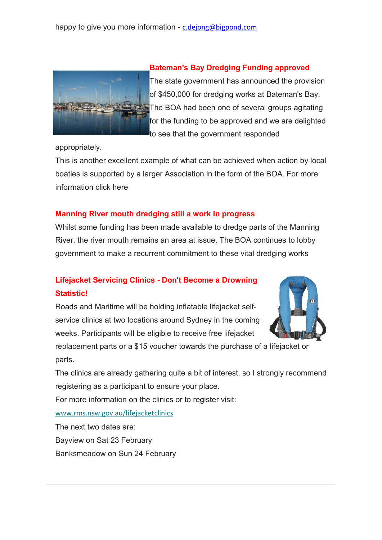

#### Bateman's Bay Dredging Funding approved

The state government has announced the provision of \$450,000 for dredging works at Bateman's Bay. The BOA had been one of several groups agitating for the funding to be approved and we are delighted to see that the government responded

appropriately.

This is another excellent example of what can be achieved when action by local boaties is supported by a larger Association in the form of the BOA. For more information click here

#### Manning River mouth dredging still a work in progress

Whilst some funding has been made available to dredge parts of the Manning River, the river mouth remains an area at issue. The BOA continues to lobby government to make a recurrent commitment to these vital dredging works

### Lifejacket Servicing Clinics - Don't Become a Drowning Statistic!

Roads and Maritime will be holding inflatable lifejacket selfservice clinics at two locations around Sydney in the coming weeks. Participants will be eligible to receive free lifejacket



replacement parts or a \$15 voucher towards the purchase of a lifejacket or parts.

The clinics are already gathering quite a bit of interest, so I strongly recommend registering as a participant to ensure your place.

For more information on the clinics or to register visit:

www.rms.nsw.gov.au/lifejacketclinics

The next two dates are: Bayview on Sat 23 February Banksmeadow on Sun 24 February